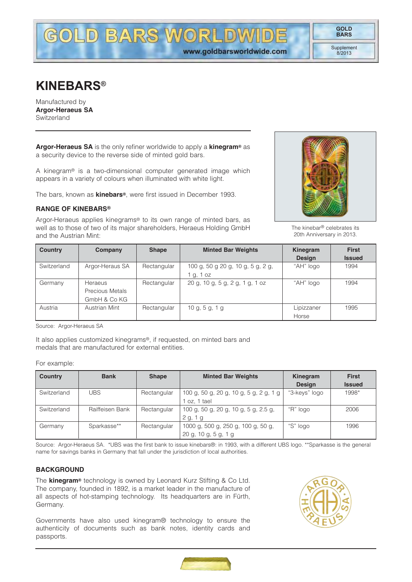Supplement 8/2013

# **KINEBARS®**

Manufactured by **Argor-Heraeus SA** Switzerland

**Argor-Heraeus SA** is the only refiner worldwide to apply a **kinegram®** as a security device to the reverse side of minted gold bars.

A kinegram® is a two-dimensional computer generated image which appears in a variety of colours when illuminated with white light.

The bars, known as **kinebars®**, were first issued in December 1993.

# **RANGE OF KINEBARS®**

Argor-Heraeus applies kinegrams® to its own range of minted bars, as well as to those of two of its major shareholders, Heraeus Holding GmbH and the Austrian Mint:



The kinebar® celebrates its 20th Anniversary in 2013.

| <b>Country</b> | Company                | <b>Shape</b> | <b>Minted Bar Weights</b>         | Kinegram      | <b>First</b>  |
|----------------|------------------------|--------------|-----------------------------------|---------------|---------------|
|                |                        |              |                                   | <b>Design</b> | <b>Issued</b> |
| Switzerland    | Argor-Heraus SA        | Rectangular  | 100 g, 50 g 20 g, 10 g, 5 g, 2 g, | "AH" logo     | 1994          |
|                |                        |              | lg. 1 oz                          |               |               |
| Germany        | Heraeus                | Rectangular  | 20 g, 10 g, 5 g, 2 g, 1 g, 1 oz   | "AH" logo     | 1994          |
|                | <b>Precious Metals</b> |              |                                   |               |               |
|                | GmbH & Co KG           |              |                                   |               |               |
| Austria        | Austrian Mint          | Rectangular  | 10 g, 5 g, 1 g                    | Lipizzaner    | 1995          |
|                |                        |              |                                   | Horse         |               |

Source: Argor-Heraeus SA

It also applies customized kinegrams®, if requested, on minted bars and medals that are manufactured for external entities.

#### For example:

| <b>Country</b> | <b>Bank</b>     | <b>Shape</b> | <b>Minted Bar Weights</b>              | Kinegram      | <b>First</b>  |
|----------------|-----------------|--------------|----------------------------------------|---------------|---------------|
|                |                 |              |                                        | <b>Design</b> | <b>Issued</b> |
| Switzerland    | <b>UBS</b>      | Rectangular  | 100 g, 50 g, 20 g, 10 g, 5 g, 2 g, 1 g | "3-keys" logo | 1998*         |
|                |                 |              | oz. 1 tael                             |               |               |
| Switzerland    | Raiffeisen Bank | Rectangular  | 100 g, 50 g, 20 g, 10 g, 5 g, 2.5 g,   | "R" logo      | 2006          |
|                |                 |              | 2 g, 1 g                               |               |               |
| Germany        | Sparkasse**     | Rectangular  | 1000 g, 500 g, 250 g, 100 g, 50 g,     | "S" logo      | 1996          |
|                |                 |              | $20 g$ , $10 g$ , $5 g$ , $1 g$        |               |               |

Source: Argor-Heraeus SA. \*UBS was the first bank to issue kinebars®: in 1993, with a different UBS logo. \*\*Sparkasse is the general name for savings banks in Germany that fall under the jurisdiction of local authorities.

## **BACKGROUND**

The **kinegram®** technology is owned by Leonard Kurz Stifting & Co Ltd. The company, founded in 1892, is a market leader in the manufacture of all aspects of hot-stamping technology. Its headquarters are in Fürth, Germany.

Governments have also used kinegram® technology to ensure the authenticity of documents such as bank notes, identity cards and passports.



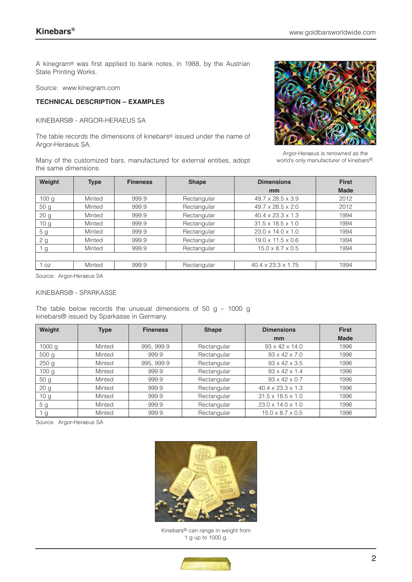A kinegram® was first applied to bank notes, in 1988, by the Austrian State Printing Works.

Source: www.kinegram.com

## **TECHNICAL DESCRIPTION – EXAMPLES**

KINEBARS® - ARGOR-HERAEUS SA

The table records the dimensions of kinebars® issued under the name of Argor-Heraeus SA.

Many of the customized bars, manufactured for external entities, adopt the same dimensions.



Argor-Heraeus is renowned as the world's only manufacturer of kinebars®.

| Weight           | <b>Type</b>        | <b>Fineness</b> | <b>Shape</b> | <b>Dimensions</b>             | <b>First</b> |
|------------------|--------------------|-----------------|--------------|-------------------------------|--------------|
|                  |                    |                 |              | mm                            | <b>Made</b>  |
| 100 <sub>q</sub> | Minted             | 999.9           | Rectangular  | $49.7 \times 28.5 \times 3.9$ | 2012         |
| 50 <sub>q</sub>  | Minted             | 999.9           | Rectangular  | $49.7 \times 28.5 \times 2.0$ | 2012         |
| 20 <sub>g</sub>  | Minted             | 999.9           | Rectangular  | $40.4 \times 23.3 \times 1.3$ | 1994         |
| 10 <sub>q</sub>  | Minted             | 999.9           | Rectangular  | $31.5 \times 18.5 \times 1.0$ | 1994         |
| 5 g              | Minted             | 999.9           | Rectangular  | $23.0 \times 14.0 \times 1.0$ | 1994         |
| 2 g              | Minted             | 999.9           | Rectangular  | $19.0 \times 11.5 \times 0.6$ | 1994         |
| g                | Minted             | 999.9           | Rectangular  | $15.0 \times 8.7 \times 0.5$  | 1994         |
|                  |                    |                 |              |                               |              |
| 1 oz             | Minted             | 999.9           | Rectangular  | 40.4 x 23.3 x 1.75            | 1994         |
| $\sim$<br>$\sim$ | .<br>$\sim$ $\sim$ |                 |              |                               |              |

Source: Argor-Heraeus SA

#### KINEBARS® - SPARKASSE

The table below records the unusual dimensions of 50 g  $-$  1000 g kinebars® issued by Sparkasse in Germany.

| Weight            | <b>Type</b> | <b>Fineness</b> | <b>Shape</b> | <b>Dimensions</b>             | <b>First</b> |
|-------------------|-------------|-----------------|--------------|-------------------------------|--------------|
|                   |             |                 |              | mm                            | <b>Made</b>  |
| 1000 <sub>g</sub> | Minted      | 995, 999.9      | Rectangular  | $93 \times 42 \times 14.0$    | 1996         |
| 500 <sub>q</sub>  | Minted      | 999.9           | Rectangular  | $93 \times 42 \times 7.0$     | 1996         |
| 250 <sub>g</sub>  | Minted      | 995, 999.9      | Rectangular  | $93 \times 42 \times 3.5$     | 1996         |
| 100 <sub>g</sub>  | Minted      | 999.9           | Rectangular  | $93 \times 42 \times 1.4$     | 1996         |
| 50 <sub>g</sub>   | Minted      | 999.9           | Rectangular  | $93 \times 42 \times 0.7$     | 1996         |
| 20 <sub>g</sub>   | Minted      | 999.9           | Rectangular  | $40.4 \times 23.3 \times 1.3$ | 1996         |
| 10 <sub>g</sub>   | Minted      | 999.9           | Rectangular  | $31.5 \times 18.5 \times 1.0$ | 1996         |
| 5 <sub>g</sub>    | Minted      | 999.9           | Rectangular  | $23.0 \times 14.0 \times 1.0$ | 1996         |
| g                 | Minted      | 999.9           | Rectangular  | $15.0 \times 8.7 \times 0.5$  | 1996         |

Source: Argor-Heraeus SA



Kinebars® can range in weight from 1 g up to 1000 g.

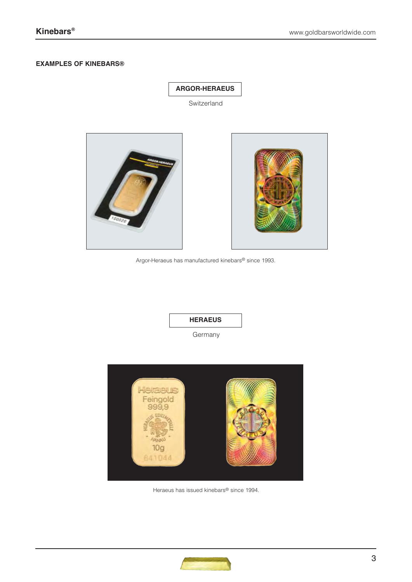## **EXAMPLES OF KINEBARS®**

# **ARGOR-HERAEUS**

Switzerland



Argor-Heraeus has manufactured kinebars® since 1993.

# **HERAEUS**

Germany



Heraeus has issued kinebars® since 1994.

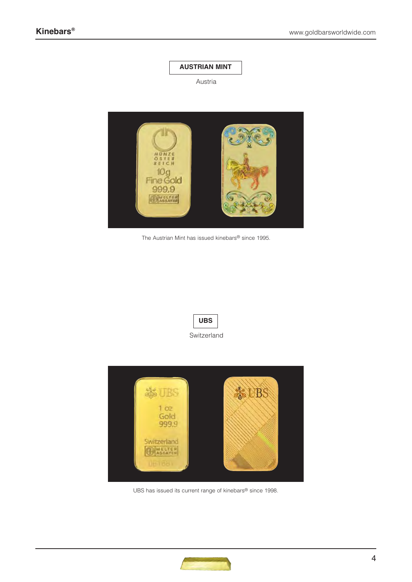

# Austria



The Austrian Mint has issued kinebars® since 1995.





UBS has issued its current range of kinebars® since 1998.

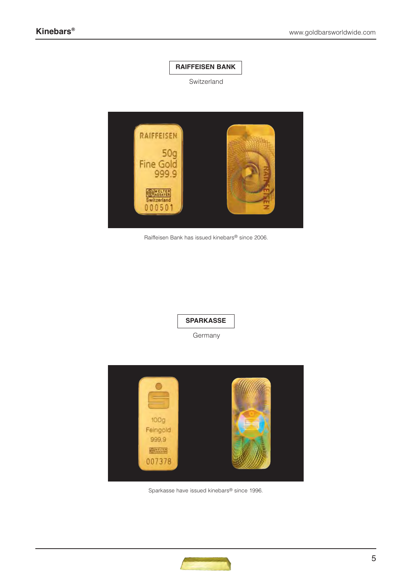

Switzerland



Raiffeisen Bank has issued kinebars® since 2006.

**SPARKASSE**

Germany



Sparkasse have issued kinebars® since 1996.

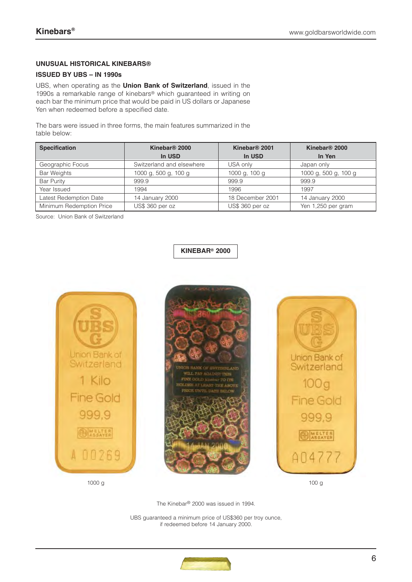# **UNUSUAL HISTORICAL KINEBARS®**

# **ISSUED BY UBS – IN 1990s**

UBS, when operating as the **Union Bank of Switzerland**, issued in the 1990s a remarkable range of kinebars® which guaranteed in writing on each bar the minimum price that would be paid in US dollars or Japanese Yen when redeemed before a specified date.

The bars were issued in three forms, the main features summarized in the table below:

| <b>Specification</b>     | Kinebar <sup>®</sup> 2000 |                  | Kinebar <sup>®</sup> 2000 |
|--------------------------|---------------------------|------------------|---------------------------|
|                          | In USD                    | In USD           | In Yen                    |
| Geographic Focus         | Switzerland and elsewhere | USA only         | Japan only                |
| <b>Bar Weights</b>       | 1000 g, 500 g, 100 g      | 1000 g, 100 g    | 1000 g, 500 g, 100 g      |
| <b>Bar Purity</b>        | 999.9                     | 999.9            | 999.9                     |
| Year Issued              | 1994                      | 1996             | 1997                      |
| Latest Redemption Date   | 14 January 2000           | 18 December 2001 | 14 January 2000           |
| Minimum Redemption Price | US\$ 360 per oz           | US\$ 360 per oz  | Yen 1,250 per gram        |

Source: Union Bank of Switzerland

**KINEBAR® 2000**







The Kinebar® 2000 was issued in 1994.

UBS guaranteed a minimum price of US\$360 per troy ounce, if redeemed before 14 January 2000.